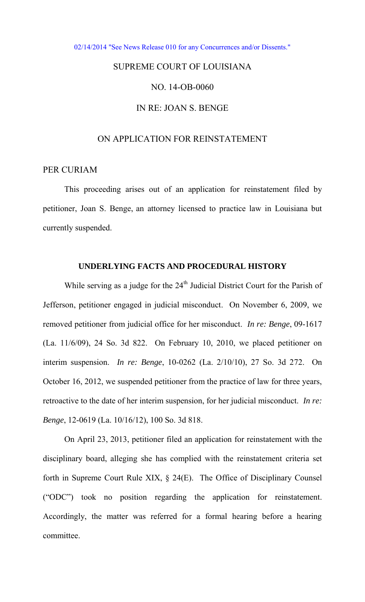[02/14/2014 "See News Release 010 for any Concurrences and/or Dissents."](http://www.lasc.org/Actions?p=2014-010) 

# SUPREME COURT OF LOUISIANA

## NO. 14-OB-0060

### IN RE: JOAN S. BENGE

#### ON APPLICATION FOR REINSTATEMENT

#### PER CURIAM

 This proceeding arises out of an application for reinstatement filed by petitioner, Joan S. Benge, an attorney licensed to practice law in Louisiana but currently suspended.

#### **UNDERLYING FACTS AND PROCEDURAL HISTORY**

While serving as a judge for the 24<sup>th</sup> Judicial District Court for the Parish of Jefferson, petitioner engaged in judicial misconduct. On November 6, 2009, we removed petitioner from judicial office for her misconduct. *In re: Benge*, 09-1617 (La. 11/6/09), 24 So. 3d 822. On February 10, 2010, we placed petitioner on interim suspension. *In re: Benge*, 10-0262 (La. 2/10/10), 27 So. 3d 272. On October 16, 2012, we suspended petitioner from the practice of law for three years, retroactive to the date of her interim suspension, for her judicial misconduct. *In re: Benge*, 12-0619 (La. 10/16/12), 100 So. 3d 818.

 On April 23, 2013, petitioner filed an application for reinstatement with the disciplinary board, alleging she has complied with the reinstatement criteria set forth in Supreme Court Rule XIX, § 24(E). The Office of Disciplinary Counsel ("ODC") took no position regarding the application for reinstatement. Accordingly, the matter was referred for a formal hearing before a hearing committee.